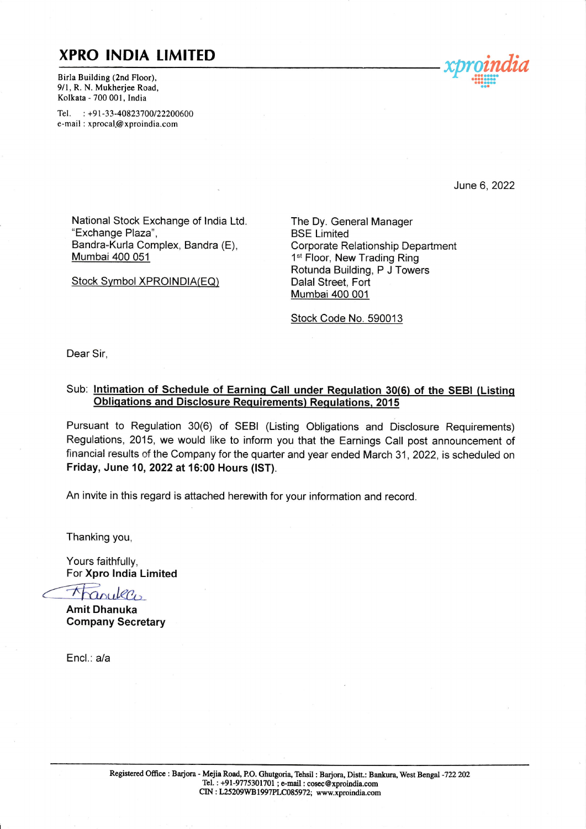### **XPRO INDIA LIMITED**

Birla Building (2nd Floor), 9/1, R. N. Mukherjee Road, Kolkata - 700 001 , India

Tel. : +91-33-40823700/22200600 e-mail : xprocal@ xproindia.com



June 6,2022

National Stock Exchange of lndia Ltd. "Exchange Plaza", Bandra-Kurla Complex, Bandra (E), Mumbai 400 051

Stock Symbol XPROINDIA(EQ)

The Dy. General Manager BSE Limited Corporate Relationship Department 1<sup>st</sup> Floor, New Trading Ring Rotunda Building, P J Towers Dalal Street, Fort **Mumbai 400 001** 

Stock Code No.590013

Dear Sir,

#### Sub: Intimation of Schedule of Earning Call under Regulation 30(6) of the SEBI (Listing Obligations and Disclosure Requirements) Regulations, 2015

Pursuant to Regulation 30(6) of SEBI (Listing Obligations and Disclosure Requirements) Regulations, 2015, we would like to inform you that the Earnings Call post announcement of financial results of the Company for the quarter and year ended March 31, 2022, is scheduled on Friday, June 10, 2022 at 16:00 Hours (lST).

An invite in this regard is attached herewith for your information and record

Thanking you,

Yours faithfully, For Xpro lndia Limited

Tranuleco

Amit Dhanuka Company Secretary

Encl.: a/a